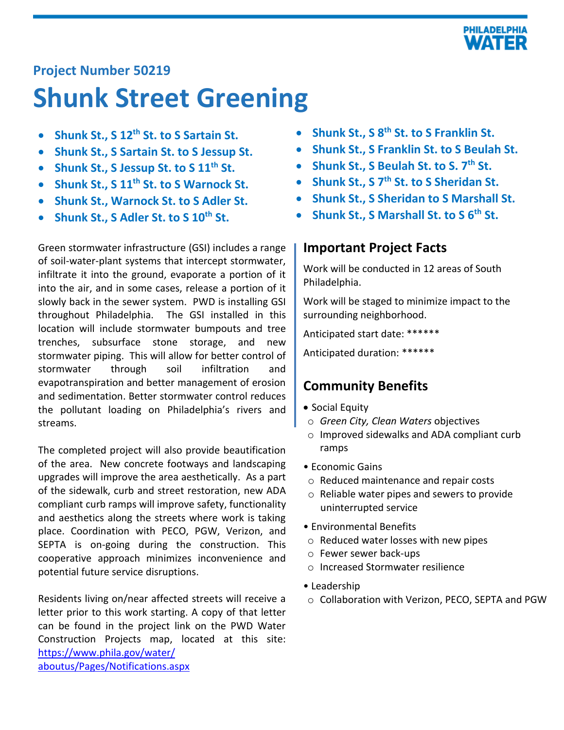

# **Project Number 50219**

# **Shunk Street Greening**

- **Shunk St., S 12th St. to S Sartain St.**
- **Shunk St., S Sartain St. to S Jessup St.**
- **Shunk St., S Jessup St. to S 11th St.**
- **Shunk St., S 11th St. to S Warnock St.**
- **Shunk St., Warnock St. to S Adler St.**
- **Shunk St., S Adler St. to S 10th St.**

Green stormwater infrastructure (GSI) includes a range of soil-water-plant systems that intercept stormwater, infiltrate it into the ground, evaporate a portion of it into the air, and in some cases, release a portion of it slowly back in the sewer system. PWD is installing GSI throughout Philadelphia. The GSI installed in this location will include stormwater bumpouts and tree trenches, subsurface stone storage, and new stormwater piping. This will allow for better control of stormwater through soil infiltration and evapotranspiration and better management of erosion and sedimentation. Better stormwater control reduces the pollutant loading on Philadelphia's rivers and streams.

The completed project will also provide beautification of the area. New concrete footways and landscaping upgrades will improve the area aesthetically. As a part of the sidewalk, curb and street restoration, new ADA compliant curb ramps will improve safety, functionality and aesthetics along the streets where work is taking place. Coordination with PECO, PGW, Verizon, and SEPTA is on-going during the construction. This cooperative approach minimizes inconvenience and potential future service disruptions.

Residents living on/near affected streets will receive a letter prior to this work starting. A copy of that letter can be found in the project link on the PWD Water Construction Projects map, located at this site: [https://www.phila.gov/water/](https://www.phila.gov/water/aboutus/Pages/Notifications.aspx) [aboutus/Pages/Notifications.aspx](https://www.phila.gov/water/aboutus/Pages/Notifications.aspx)

- **Shunk St., S 8th St. to S Franklin St.**
- **Shunk St., S Franklin St. to S Beulah St.**
- **Shunk St., S Beulah St. to S. 7th St.**
- **Shunk St., S 7th St. to S Sheridan St.**
- **Shunk St., S Sheridan to S Marshall St.**
- **Shunk St., S Marshall St. to S 6th St.**

### **Important Project Facts**

Work will be conducted in 12 areas of South Philadelphia.

Work will be staged to minimize impact to the surrounding neighborhood.

Anticipated start date: \*\*\*\*\*\*

Anticipated duration: \*\*\*\*\*\*

# **Community Benefits**

- Social Equity
- o *Green City, Clean Waters* objectives
- o Improved sidewalks and ADA compliant curb ramps
- Economic Gains
- o Reduced maintenance and repair costs
- o Reliable water pipes and sewers to provide uninterrupted service
- Environmental Benefits
- o Reduced water losses with new pipes
- o Fewer sewer back-ups
- o Increased Stormwater resilience
- Leadership
- o Collaboration with Verizon, PECO, SEPTA and PGW